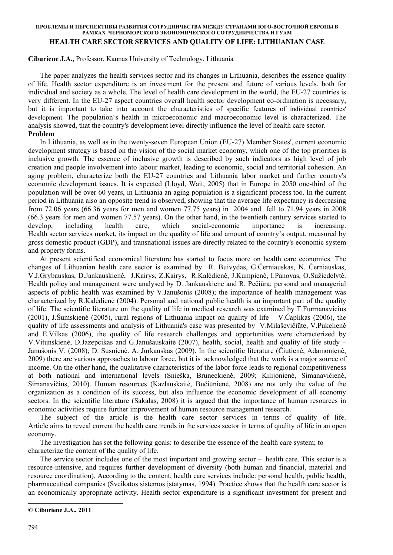### **ПРОБЛЕМЫ И ПЕРСПЕКТИВЫ РАЗВИТИЯ СОТРУДНИЧЕСТВА МЕЖДУ СТРАНАМИ ЮГО-ВОСТОЧНОЙ ЕВРОПЫ В РАМКАХ ЧЕРНОМОРСКОГО ЭКОНОМИЧЕСКОГО СОТРУДНИЧЕСТВА И ГУАМ HEALTH CARE SECTOR SERVICES AND QUALITY OF LIFE: LITHUANIAN CASE**

# **Ciburiene J.A.,** Professor, Kaunas University of Technology, Lithuania <sup>⋅</sup>

The paper analyzes the health services sector and its changes in Lithuania, describes the essence quality of life. Health sector expenditure is an investment for the present and future of various levels, both for individual and society as a whole. The level of health care development in the world, the EU-27 countries is very different. In the EU-27 aspect countries overall health sector development co-ordination is necessary, but it is important to take into account the characteristics of specific features of individual countries' development. The population's health in microeconomic and macroeconomic level is characterized. The analysis showed, that the country's development level directly influence the level of health care sector. **Problem** 

In Lithuania, as well as in the twenty-seven European Union (EU-27) Member States', current economic development strategy is based on the vision of the social market economy, which one of the top priorities is inclusive growth. The essence of inclusive growth is described by such indicators as high level of job creation and people involvement into labour market, leading to economic, social and territorial cohesion. An aging problem, characterize both the EU-27 countries and Lithuania labor market and further country's economic development issues. It is expected (Lloyd, Wait, 2005) that in Europe in 2050 one-third of the population will be over 60 years, in Lithuania an aging population is a significant process too. In the current period in Lithuania also an opposite trend is observed, showing that the average life expectancy is decreasing from 72.06 years (66.36 years for men and women 77.75 years) in 2004 and fell to 71.94 years in 2008 (66.3 years for men and women 77.57 years). On the other hand, in the twentieth century services started to develop, including health care, which social-economic importance is increasing. Health sector services market, its impact on the quality of life and amount of country's output, measured by gross domestic product (GDP), and transnational issues are directly related to the country's economic system and property forms.

At present scientifical economical literature has started to focus more on health care economics. The changes of Lithuanian health care sector is examined by R. Buivydas, G.Černiauskas, N. Černiauskas, V.J.Grybauskas, D.Jankauskienė, J.Kairys, Z.Kairys, R.Kalėdienė, J.Kumpienė, I.Panovas, O.Sužiedelytė. Health policy and management were analysed by D. Jankauskiene and R. Pečiūra; personal and managerial aspects of public health was examined by V.Janušonis (2008); the importance of health management was characterized by R.Kalėdienė (2004). Personal and national public health is an important part of the quality of life. The scientific literature on the quality of life in medical research was examined by T.Furmanavicius (2001), J.Šumskienė (2005), rural regions of Lithuania impact on quality of life – V.Čaplikas (2006), the quality of life assessments and analysis of Lithuania's case was presented by V.Milaševičiūte, V.Pukelienė and E.Vilkas (2006), the quality of life research challenges and opportunities were characterized by V.Vitunskienė, D.Jazepcikas and G.Janušauskaitė (2007), health, social, health and quality of life study – Janušonis V. (2008); D. Susnienė. A. Jurkauskas (2009). In the scientific literature (Čiutienė, Adamonienė, 2009) there are various approaches to labour force, but it is acknowledged that the work is a major source of income. On the other hand, the qualitative characteristics of the labor force leads to regional competitiveness at both national and international levels (Snieška, Bruneckienė, 2009; Kilijonienė, Simanavičienė, Simanavičius, 2010). Human resources (Kazlauskaitė, Bučiūnienė, 2008) are not only the value of the organization as a condition of its success, but also influence the economic development of all economy sectors. In the scientific literature (Sakalas, 2008) it is argued that the importance of human resources in economic activities require further improvement of human resource management research.

The subject of the article is the health care sector services in terms of quality of life. Article aims to reveal current the health care trends in the services sector in terms of quality of life in an open economy.

The investigation has set the following goals: to describe the essence of the health care system; to characterize the content of the quality of life.

The service sector includes one of the most important and growing sector – health care. This sector is a resource-intensive, and requires further development of diversity (both human and financial, material and resource coordination). According to the content, health care services include: personal health, public health, pharmaceutical companies (Sveikatos sistemos įstatymas, 1994). Practice shows that the health care sector is an economically appropriate activity. Health sector expenditure is a significant investment for present and

l

**<sup>©</sup> Ciburiene J.A., 2011**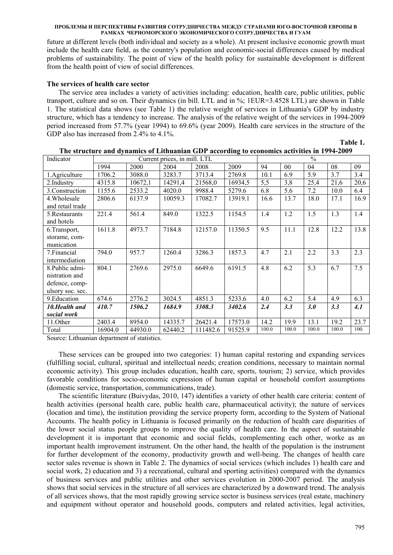future at different levels (both individual and society as a whole). At present inclusive economic growth must include the health care field, as the country's population and economic-social differences caused by medical problems of sustainability. The point of view of the health policy for sustainable development is different from the health point of view of social differences.

# **The services of health care sector**

The service area includes a variety of activities including: education, health care, public utilities, public transport, culture and so on. Their dynamics (in bill. LTL and in %; 1EUR=3.4528 LTL) are shown in Table 1. The statistical data shows (see Table 1) the relative weight of services in Lithuania's GDP by industry structure, which has a tendency to increase. The analysis of the relative weight of the services in 1994-2009 period increased from 57.7% (year 1994) to 69.6% (year 2009). Health care services in the structure of the GDP also has increased from 2.4% to 4.1%.

| Indicator        | Current prices, in mill. LTL |         |         | $\frac{0}{0}$ |         |       |       |       |       |      |
|------------------|------------------------------|---------|---------|---------------|---------|-------|-------|-------|-------|------|
|                  | 1994                         | 2000    | 2004    | 2008          | 2009    | 94    | 00    | 04    | 08    | 09   |
| 1. Agriculture   | 1706.2                       | 3088.0  | 3283.7  | 3713.4        | 2769.8  | 10.1  | 6.9   | 5.9   | 3.7   | 3.4  |
| 2.Industry       | 4315.8                       | 10672,1 | 14291,4 | 21568,0       | 16934,5 | 5,5   | 3,8   | 25,4  | 21,6  | 20,6 |
| 3. Construction  | 1155.6                       | 2533.2  | 4020.0  | 9988.4        | 5279.6  | 6.8   | 5.6   | 7.2   | 10.0  | 6.4  |
| 4. Wholesale     | 2806.6                       | 6137.9  | 10059.3 | 17082.7       | 13919.1 | 16.6  | 13.7  | 18.0  | 17.1  | 16.9 |
| and retail trade |                              |         |         |               |         |       |       |       |       |      |
| 5. Restaurants   | 221.4                        | 561.4   | 849.0   | 1322.5        | 1154.5  | 1.4   | 1.2   | 1.5   | 1.3   | 1.4  |
| and hotels       |                              |         |         |               |         |       |       |       |       |      |
| 6. Transport,    | 1611.8                       | 4973.7  | 7184.8  | 12157.0       | 11350.5 | 9.5   | 11.1  | 12.8  | 12.2  | 13.8 |
| storame, com-    |                              |         |         |               |         |       |       |       |       |      |
| munication       |                              |         |         |               |         |       |       |       |       |      |
| 7. Financial     | 794.0                        | 957.7   | 1260.4  | 3286.3        | 1857.3  | 4.7   | 2.1   | 2.2   | 3.3   | 2.3  |
| intermediation   |                              |         |         |               |         |       |       |       |       |      |
| 8. Public admi-  | 804.1                        | 2769.6  | 2975.0  | 6649.6        | 6191.5  | 4.8   | 6.2   | 5.3   | 6.7   | 7.5  |
| nistration and   |                              |         |         |               |         |       |       |       |       |      |
| defence, comp-   |                              |         |         |               |         |       |       |       |       |      |
| ulsory soc. sec. |                              |         |         |               |         |       |       |       |       |      |
| 9. Education     | 674.6                        | 2776.2  | 3024.5  | 4851.3        | 5233.6  | 4.0   | 6.2   | 5.4   | 4.9   | 6.3  |
| 10. Health and   | 410.7                        | 1506.2  | 1684.9  | 3308.3        | 3402.6  | 2.4   | 3.3   | 3.0   | 3.3   | 4.1  |
| social work      |                              |         |         |               |         |       |       |       |       |      |
| 11.Other         | 2403.4                       | 8954.0  | 14335.7 | 26421.4       | 17573.0 | 14.2  | 19.9  | 13.1  | 19.2  | 23.7 |
| Total            | 16904.0                      | 44930.0 | 62440.2 | 111482.6      | 91525.9 | 100.0 | 100.0 | 100.0 | 100.0 | 100. |

|  | The structure and dynamics of Lithuanian GDP according to economics activities in 1994-2009 |
|--|---------------------------------------------------------------------------------------------|
|  |                                                                                             |

Source: Lithuanian department of statistics.

These services can be grouped into two categories: 1) human capital restoring and expanding services (fulfilling social, cultural, spiritual and intellectual needs; creation conditions, necessary to maintain normal economic activity). This group includes education, health care, sports, tourism; 2) service, which provides favorable conditions for socio-economic expression of human capital or household comfort assumptions (domestic service, transportation, communications, trade).

The scientific literature (Buivydas, 2010, 147) identifies a variety of other health care criteria: content of health activities (personal health care, public health care, pharmaceutical activity); the nature of services (location and time), the institution providing the service property form, according to the System of National Accounts. The health policy in Lithuania is focused primarily on the reduction of health care disparities of the lower social status people groups to improve the quality of health care. In the aspect of sustainable development it is important that economic and social fields, complementing each other, worke as an important health improvement instrument. On the other hand, the health of the population is the instrument for further development of the economy, productivity growth and well-being. The changes of health care sector sales revenue is shown in Table 2. The dynamics of social services (which includes 1) health care and social work, 2) education and 3) a recreational, cultural and sporting activities) compared with the dynamics of business services and public utilities and other services evolution in 2000-2007 period. The analysis shows that social services in the structure of all services are characterized by a downward trend. The analysis of all services shows, that the most rapidly growing service sector is business services (real estate, machinery and equipment without operator and household goods, computers and related activities, legal activities,

**Table 1.**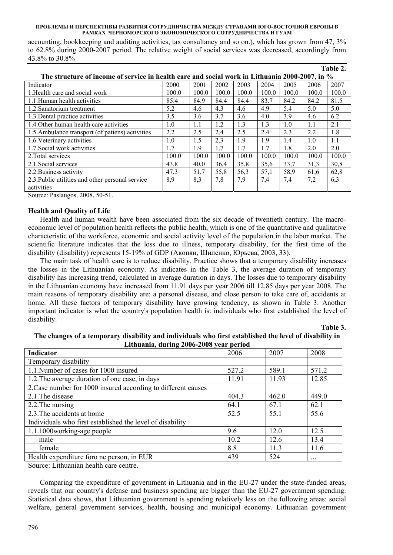accounting, bookkeeping and auditing activities, tax consultancy and so on.), which has grown from 47, 3% to 62.8% during 2000-2007 period. The relative weight of social services was decreased, accordingly from 43.8% to 30.8%

|                                                                                                |       |       |       |       |       |       |       | Table 2. |
|------------------------------------------------------------------------------------------------|-------|-------|-------|-------|-------|-------|-------|----------|
| The structure of income of service in health care and social work in Lithuania 2000-2007, in % |       |       |       |       |       |       |       |          |
| Indicator                                                                                      | 2000  | 2001  | 2002  | 2003  | 2004  | 2005  | 2006  | 2007     |
| 1. Health care and social work                                                                 | 100.0 | 100.0 | 100.0 | 100.0 | 100.0 | 100.0 | 100.0 | 100.0    |
| 1.1. Human health activities                                                                   | 85.4  | 84.9  | 84.4  | 84.4  | 83.7  | 84.2  | 84.2  | 81.5     |
| 1.2. Sanatorium treatment                                                                      | 5.2   | 4.6   | 4.3   | 4.6   | 4.9   | 5.4   | 5.0   | 5.0      |
| 1.3. Dental practice activities                                                                | 3.5   | 3.6   | 3.7   | 3.6   | 4.0   | 3.9   | 4.6   | 6.2      |
| 1.4. Other human health care activities                                                        | 1.0   | 1.1   | 1.2   | 1.3   | 1.3   | 1.0   | 1.1   | 2.1      |
| 1.5. Ambulance transport (of patiens) activities                                               | 2.2   | 2.5   | 2.4   | 2.5   | 2.4   | 2.3   | 2.2   | 1.8      |
| 1.6. Veterinary activities                                                                     | 1.0   | 1.5   | 2.3   | 1.9   | 1.9   | 1.4   | 1.0   | 1.1      |
| 1.7. Social work activities                                                                    | 1.7   | 1.9   | 1.7   | 1.7   | 1.7   | 1.8   | 2.0   | 2.0      |
| 2. Total services                                                                              | 100.0 | 100.0 | 100.0 | 100.0 | 100.0 | 100.0 | 100.0 | 100.0    |
| 2.1. Social services                                                                           | 43,8  | 40.0  | 36,4  | 35,8  | 35,6  | 33,7  | 31,3  | 30,8     |
| 2.2. Business activity                                                                         | 47,3  | 51.7  | 55,8  | 56,3  | 57,1  | 58.9  | 61,6  | 62,8     |
| 2.3. Public utilities and other personal service                                               | 8,9   | 8,3   | 7,8   | 7,9   | 7,4   | 7,4   | 7,2   | 6,3      |
| activities                                                                                     |       |       |       |       |       |       |       |          |

Source: Paslaugos, 2008, 50-51.

# **Health and Quality of Life**

Health and human wealth have been associated from the six decade of twentieth century. The macroeconomic level of population health reflects the public health, which is one of the quantitative and qualitative characteristic of the workforce, economic and social activity level of the population in the labor market. The scientific literature indicates that the loss due to illness, temporary disability, for the first time of the disability (disability) represents 15-19% of GDP (Акопян, Шиленко, Юрьева, 2003, 33).

The main task of health care is to reduce disability. Practice shows that a temporary disability increases the losses in the Lithuanian economy. As indicates in the Table 3, the average duration of temporary disability has increasing trend, calculated in average duration in days. The losses due to temporary disability in the Lithuanian economy have increased from 11.91 days per year 2006 till 12.85 days per year 2008. The main reasons of temporary disability are: a personal disease, and close person to take care of, accidents at home. All these factors of temporary disability have growing tendency, as shown in Table 3. Another important indicator is what the country's population health is: individuals who first established the level of disability.

**Table 3.** 

# **The changes of a temporary disability and individuals who first established the level of disability in Lithuania, during 2006-2008 year period**

| Indicator                                                     | 2006  | 2007  | 2008  |
|---------------------------------------------------------------|-------|-------|-------|
| Temporary disability                                          |       |       |       |
| 1.1. Number of cases for 1000 insured                         | 527.2 | 589.1 | 571.2 |
| 1.2. The average duration of one case, in days                | 11.91 | 11.93 | 12.85 |
| 2. Case number for 1000 insured according to different causes |       |       |       |
| 2.1. The disease                                              | 404.3 | 462.0 | 449.0 |
| 2.2. The nursing                                              | 64.1  | 67.1  | 62.1  |
| 2.3. The accidents at home                                    | 52.5  | 55.1  | 55.6  |
| Individuals who first established the level of disability     |       |       |       |
| 1.1.1000working-age people                                    | 9.6   | 120   | 12.5  |
| male                                                          | 10.2  | 12.6  | 13.4  |
| female                                                        | 8.8   | 11.3  | 11.6  |
| Health expenditure foro ne person, in EUR                     | 439   | 524   |       |

Source: Lithuanian health care centre.

Comparing the expenditure of government in Lithuania and in the EU-27 under the state-funded areas, reveals that our country's defense and business spending are bigger than the EU-27 government spending. Statistical data shows, that Lithuanian government is spending relatively less on the following areas: social welfare, general government services, health, housing and municipal economy. Lithuanian government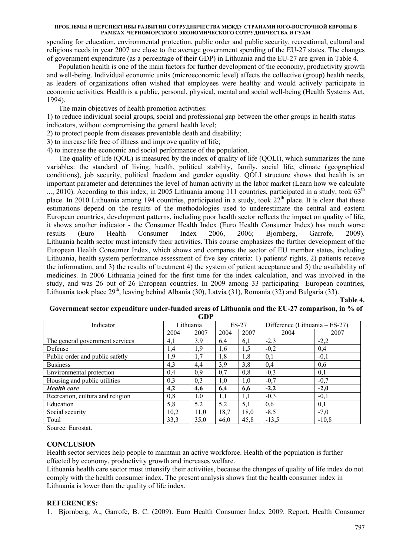spending for education, environmental protection, public order and public security, recreational, cultural and religious needs in year 2007 are close to the average government spending of the EU-27 states. The changes of government expenditure (as a percentage of their GDP) in Lithuania and the EU-27 are given in Table 4.

Population health is one of the main factors for further development of the economy, productivity growth and well-being. Individual economic units (microeconomic level) affects the collective (group) health needs, as leaders of organizations often wished that employees were healthy and would actively participate in economic activities. Health is a public, personal, physical, mental and social well-being (Health Systems Act, 1994).

The main objectives of health promotion activities:

1) to reduce individual social groups, social and professional gap between the other groups in health status indicators, without compromising the general health level;

2) to protect people from diseases preventable death and disability;

3) to increase life free of illness and improve quality of life;

4) to increase the economic and social performance of the population.

The quality of life (QOL) is measured by the index of quality of life (QOLI), which summarizes the nine variables: the standard of living, health, political stability, family, social life, climate (geographical conditions), job security, political freedom and gender equality. QOLI structure shows that health is an important parameter and determines the level of human activity in the labor market (Learn how we calculate  $\ldots$ , 2010). According to this index, in 2005 Lithuania among 111 countries, participated in a study, took 63<sup>th</sup> place. In 2010 Lithuania among 194 countries, participated in a study, took  $22<sup>th</sup>$  place. It is clear that these estimations depend on the results of the methodologies used to underestimate the central and eastern European countries, development patterns, including poor health sector reflects the impact on quality of life, it shows another indicator - the Consumer Health Index (Euro Health Consumer Index) has much worse results (Euro Health Consumer Index 2006, 2006; Bjornberg, Garrofe, 2009). Lithuania health sector must intensify their activities. This course emphasizes the further development of the European Health Consumer Index, which shows and compares the sector of EU member states, including Lithuania, health system performance assessment of five key criteria: 1) patients' rights, 2) patients receive the information, and 3) the results of treatment 4) the system of patient acceptance and 5) the availability of medicines. In 2006 Lithuania joined for the first time for the index calculation, and was involved in the study, and was 26 out of 26 European countries. In 2009 among 33 participating European countries, Lithuania took place  $29<sup>th</sup>$ , leaving behind Albania (30), Latvia (31), Romania (32) and Bulgaria (33).

**Table 4.** 

| ATIJF                            |           |      |         |      |                                  |         |  |  |
|----------------------------------|-----------|------|---------|------|----------------------------------|---------|--|--|
| Indicator                        | Lithuania |      | $ES-27$ |      | Difference (Lithuania $-ES-27$ ) |         |  |  |
|                                  | 2004      | 2007 | 2004    | 2007 | 2004                             | 2007    |  |  |
| The general government services  | 4,1       | 3,9  | 6,4     | 6,1  | $-2,3$                           | $-2,2$  |  |  |
| Defense                          | 1,4       | 1,9  | 1,6     | 1,5  | $-0,2$                           | 0,4     |  |  |
| Public order and public safetly  | 1,9       | 1,7  | 1,8     | 1,8  | 0,1                              | $-0,1$  |  |  |
| <b>Business</b>                  | 4,3       | 4,4  | 3,9     | 3,8  | 0,4                              | 0,6     |  |  |
| Environmental protection         | 0,4       | 0,9  | 0,7     | 0,8  | $-0,3$                           | 0,1     |  |  |
| Housing and public utilities     | 0,3       | 0,3  | 1,0     | 1,0  | $-0,7$                           | $-0,7$  |  |  |
| <b>Health</b> care               | 4,2       | 4,6  | 6,4     | 6,6  | $-2,2$                           | $-2,0$  |  |  |
| Recreation, cultura and religion | 0,8       | 1,0  | 1,1     | 1,1  | $-0,3$                           | $-0,1$  |  |  |
| Education                        | 5,8       | 5,2  | 5,2     | 5,1  | 0,6                              | 0,1     |  |  |
| Social security                  | 10,2      | 11.0 | 18,7    | 18,0 | $-8,5$                           | $-7,0$  |  |  |
| Total                            | 33,3      | 35,0 | 46,0    | 45,8 | $-13,5$                          | $-10,8$ |  |  |

# **Government sector expenditure under-funded areas of Lithuania and the EU-27 comparison, in % of GDP**

Source: Eurostat.

## **CONCLUSION**

Health sector services help people to maintain an active workforce. Health of the population is further effected by economy, productivity growth and increases welfare.

Lithuania health care sector must intensify their activities, because the changes of quality of life index do not comply with the health consumer index. The present analysis shows that the health consumer index in Lithuania is lower than the quality of life index.

# **REFERENCES:**

1. Bjornberg, A., Garrofe, B. C. (2009). Euro Health Consumer Index 2009. Report. Health Consumer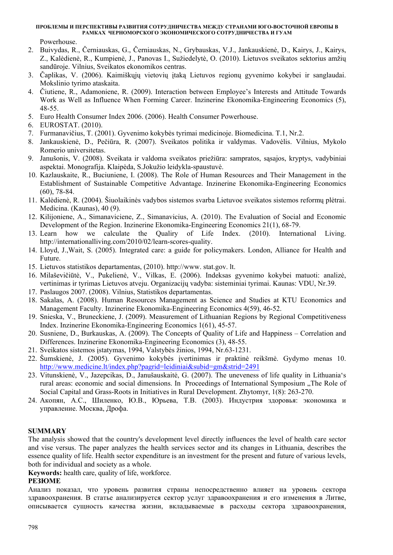Powerhouse.

- 2. Buivydas, R., Černiauskas, G., Černiauskas, N., Grybauskas, V.J., Jankauskienė, D., Kairys, J., Kairys, Z., Kalėdienė, R., Kumpienė, J., Panovas I., Sužiedelytė, O. (2010). Lietuvos sveikatos sektorius amžių sandūroje. Vilnius, Sveikatos ekonomikos centras.
- 3. Čaplikas, V. (2006). Kaimiškųjų vietovių įtaką Lietuvos regionų gyvenimo kokybei ir sanglaudai. Mokslinio tyrimo ataskaita.
- 4. Čiutiene, R., Adamoniene, R. (2009). Interaction between Employee's Interests and Attitude Towards Work as Well as Influence When Forming Career. Inzinerine Ekonomika-Engineering Economics (5), 48-55.
- 5. Euro Health Consumer Index 2006. (2006). Health Consumer Powerhouse.
- 6. EUROSTAT. (2010).
- 7. Furmanavičius, T. (2001). Gyvenimo kokybės tyrimai medicinoje. Biomedicina. T.1, Nr.2.
- 8. Jankauskienė, D., Pečiūra, R. (2007). Sveikatos politika ir valdymas. Vadovėlis. Vilnius, Mykolo Romerio universitetas.
- 9. Janušonis, V. (2008). Sveikata ir valdoma sveikatos priežiūra: sampratos, sąsajos, kryptys, vadybiniai aspektai. Monografija. Klaipėda, S.Jokužio leidykla-spaustuvė.
- 10. Kazlauskaite, R., Buciuniene, I. (2008). The Role of Human Resources and Their Management in the Establishment of Sustainable Competitive Advantage. Inzinerine Ekonomika-Engineering Economics (60), 78-84.
- 11. Kalėdienė, R. (2004). Šiuolaikinės vadybos sistemos svarba Lietuvoe sveikatos sistemos reformų plėtrai. Medicina. (Kaunas), 40 (9).
- 12. Kilijoniene, A., Simanaviciene, Z., Simanavicius, A. (2010). The Evaluation of Social and Economic Development of the Region. Inzinerine Ekonomika-Engineering Economics 21(1), 68-79.
- 13. Learn how we calculate the Qualiry of Life Index. (2010). International Living. http://internationalliving.com/2010/02/learn-scores-quality.
- 14. Lloyd, J.,Wait, S. (2005). Integrated care: a guide for policymakers. London, Alliance for Health and Future.
- 15. Lietuvos statistikos departamentas, (2010). http://www. stat.gov. lt.
- 16. Milaševičiūtė, V., Pukelienė, V., Vilkas, E. (2006). Indeksas gyvenimo kokybei matuoti: analizė, vertinimas ir tyrimas Lietuvos atveju. Organizacijų vadyba: sisteminiai tyrimai. Kaunas: VDU, Nr.39.
- 17. Paslaugos 2007. (2008). Vilnius, Statistikos departamentas.
- 18. Sakalas, A. (2008). Human Resources Management as Science and Studies at KTU Economics and Management Faculty. Inzinerine Ekonomika-Engineering Economics 4(59), 46-52.
- 19. Snieska, V., Bruneckiene, J. (2009). Measurement of Lithuanian Regions by Regional Competitiveness Index. Inzinerine Ekonomika-Engineering Economics 1(61), 45-57.
- 20. Susniene, D., Burkauskas, A. (2009). The Concepts of Quality of Life and Happiness Correlation and Differences. Inzinerine Ekonomika-Engineering Economics (3), 48-55.
- 21. Sveikatos sistemos įstatymas, 1994, Valstybės žinios, 1994, Nr.63-1231.
- 22. Šumskienė, J. (2005). Gyvenimo kokybės įvertinimas ir praktinė reikšmė. Gydymo menas 10. http://www.medicine.lt/index.php?pagrid=leidiniai&subid=gm&strid=2491
- 23. Vitunskienė, V., Jazepcikas, D., Janušauskaitė, G. (2007). The uneveness of life quality in Lithuania's rural areas: economic and social dimensions. In Proceedings of International Symposium "The Role of Social Capital and Grass-Roots in Initiatives in Rural Development. Zhytomyr, 1(8): 263-270.
- 24. Акопян, А.С., Шиленко, Ю.В., Юрьева, Т.В. (2003). Индустрия здоровья: экономика и управление. Москва, Дрофа.

# **SUMMARY**

The analysis showed that the country's development level directly influences the level of health care sector and vise versus. The paper analyzes the health services sector and its changes in Lithuania, describes the essence quality of life. Health sector expenditure is an investment for the present and future of various levels, both for individual and society as a whole.

**Keywords:** health care, quality of life, workforce.

# **РЕЗЮМЕ**

Анализ показал, что уровень развития страны непосредственно влияет на уровень сектора здравоохранения. В статье анализируется сектор услуг здравоохранения и его изменения в Литве, описывается сущность качества жизни, вкладываемые в расходы сектора здравоохранения,